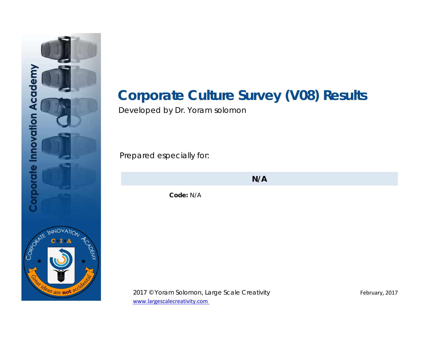

# **Corporate Culture Survey (V08) Results**

Developed by Dr. Yoram solomon

Prepared especially for:

**N/A**

**Code:** N/A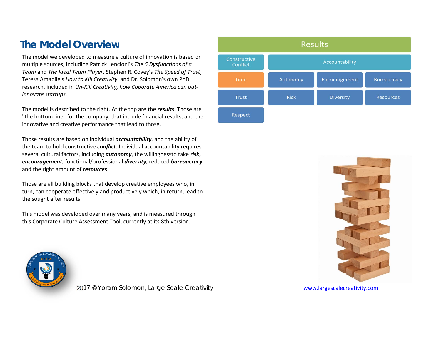## **The Model Overview**

The model we developed to measure a culture of innovation is based on multiple sources, including Patrick Lencioni's *The 5 Dysfunctions of a Team* and *The Ideal Team Player*, Stephen R. Covey's *The Speed of Trust*, Teresa Amabile's *How to Kill Creativity*, and Dr. Solomon's own PhD research, included in *Un‐Kill Creativity, how Coporate America can out‐ innovate startups*.

The model is described to the right. At the top are the *results*. Those are "the bottom line" for the company, that include financial results, and the innovative and creative performance that lead to those.

Those results are based on individual *accountability*, and the ability of the team to hold constructive *conflict*. Individual accountability requires several cultural factors, including *autonomy*, the willingnessto take *risk*, *encouragement*, functional/professional *diversity*, reduced *bureaucracy*, and the right amount of *resources*.

Those are all building blocks that develop creative employees who, in turn, can cooperate effectively and productively which, in return, lead to the sought after results.

This model was developed over many years, and is measured through this Corporate Culture Assessment Tool, currently at its 8th version.





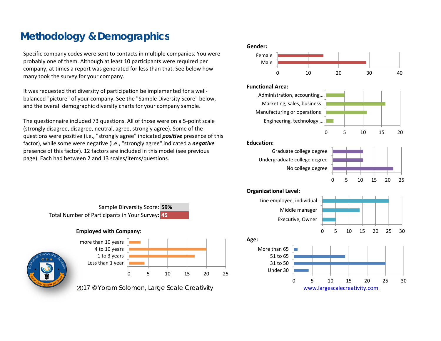## **Methodology & Demographics**

Specific company codes were sent to contacts in multiple companies. You were probably one of them. Although at least 10 participants were required per company, at times a report was generated for less than that. See below how many took the survey for your company.

It was requested that diversity of participation be implemented for a well‐ balanced "picture" of your company. See the "Sample Diversity Score" below, and the overall demographic diversity charts for your company sample.

The questionnaire included 73 questions. All of those were on a 5‐point scale (strongly disagree, disagree, neutral, agree, strongly agree). Some of the questions were positive (i.e., "strongly agree" indicated *positive* presence of this factor), while some were negative (i.e., "strongly agree" indicated a *negative* presence of this factor). 12 factors are included in this model (see previous page). Each had between 2 and 13 scales/items/questions.





Less than 1 year 1 to 3 years



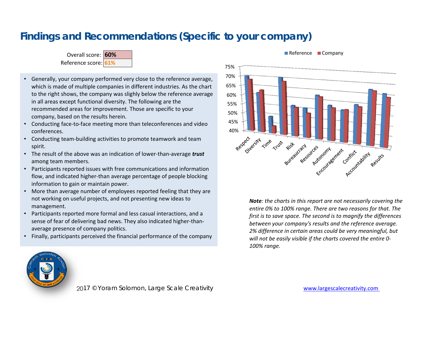## **Findings and Recommendations (Specific to your company)**



- Generally, your company performed very close to the reference average, which is made of multiple companies in different industries. As the chart to the right shows, the company was slighly below the reference average in all areas except functional diversity. The following are the recommended areas for improvement. Those are specific to your company, based on the results herein.
- Conducting face-to-face meeting more than teleconferences and video conferences.
- Conducting team‐building activities to promote teamwork and team spirit.
- The result of the above was an indication of lower‐than‐average *trust* among team members.
- Participants reported issues with free communications and information flow, and indicated higher‐than average percentage of people blocking information to gain or maintain power.
- More than average number of employees reported feeling that they are not working on useful projects, and not presenting new ideas to management.
- Participants reported more formal and less casual interactions, and a sense of fear of delivering bad news. They also indicated higher-thanaverage presence of company politics.
- •Finally, participants perceived the financial performance of the company



### Reference **Company**

*Note: the charts in this report are not necessarily covering the entire 0% to 100% range. There are two reasons for that. The first is to save space. The second is to magnify the differences between your company's results and the reference average. 2% difference in certain areas could be very meaningful, but will not be easily visible if the charts covered the entire 0‐ 100% range.* 

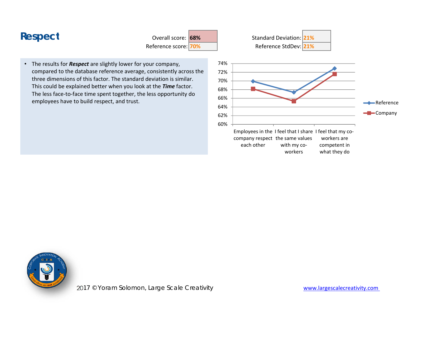Reference score: **70%**

• The results for *Respect* are slightly lower for your company, compared to the database reference average, consistently across the three dimensions of this factor. The standard deviation is similar. This could be explained better when you look at the *Time* factor. The less face-to-face time spent together, the less opportunity do employees have to build respect, and trust.



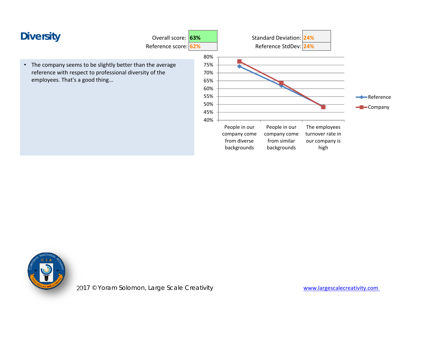

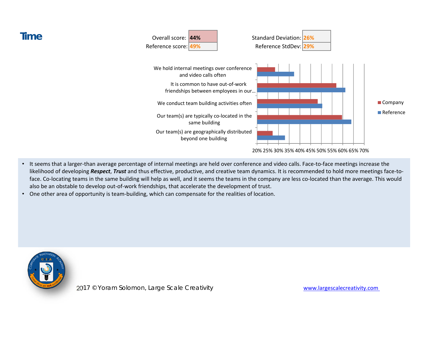

- •It seems that a larger-than average percentage of internal meetings are held over conference and video calls. Face-to-face meetings increase the likelihood of developing *Respect*, *Trust* and thus effective, productive, and creative team dynamics. It is recommended to hold more meetings face‐to‐ face. Co-locating teams in the same building will help as well, and it seems the teams in the company are less co-located than the average. This would also be an obstable to develop out‐of‐work friendships, that accelerate the development of trust.
- •One other area of opportunity is team-building, which can compensate for the realities of location.



**Time**

2017 © Yoram Solomon, Large Scale Creativity entering the state www.largescalecreativity.com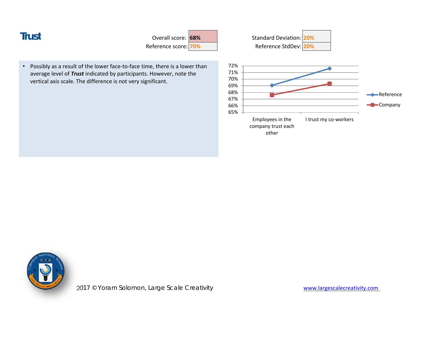| u,<br>۰,<br>×<br>٧ |  |
|--------------------|--|

 Overall score: **68%**Reference score: **70%**

•Possibly as a result of the lower face-to-face time, there is a lower than average level of *Trust* indicated by participants. However, note the vertical axis scale. The difference is not very significant.



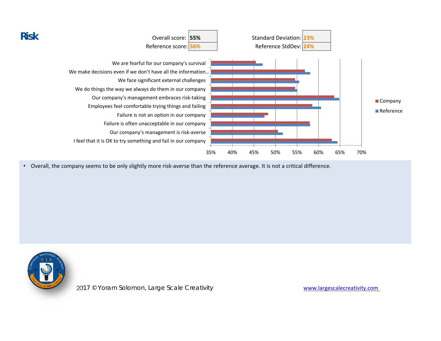

• Overall, the company seems to be only slightly more risk-averse than the reference average. It is not a critical difference.

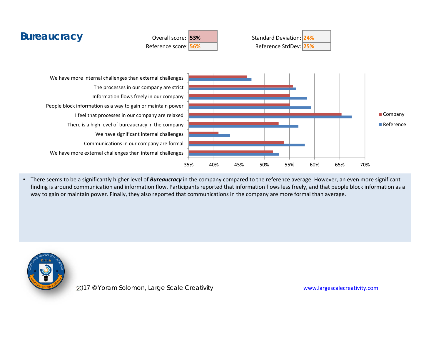

• There seems to be a significantly higher level of *Bureaucracy* in the company compared to the reference average. However, an even more significant finding is around communication and information flow. Participants reported that information flows less freely, and that people block information as a way to gain or maintain power. Finally, they also reported that communications in the company are more formal than average.

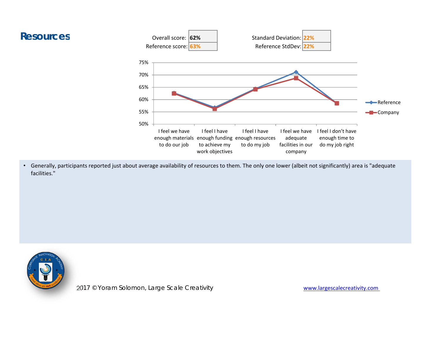



• Generally, participants reported just about average availability of resources to them. The only one lower (albeit not significantly) area is "adequate facilities."



2017 © Yoram Solomon, Large Scale Creativity **manufation and the Scale Creativity** www.largescalecreativity.com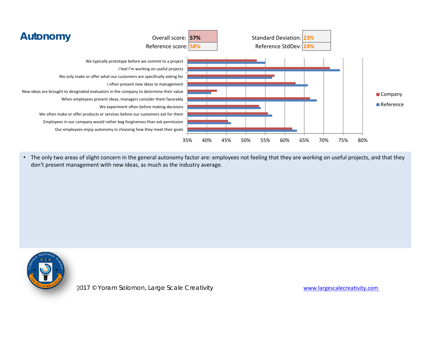

• The only two areas of slight concern in the general autonomy factor are: employees not feeling that they are working on useful projects, and that they don't present management with new ideas, as much as the industry average.

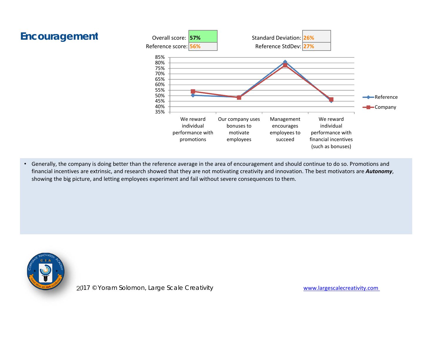

• Generally, the company is doing better than the reference average in the area of encouragement and should continue to do so. Promotions and financial incentives are extrinsic, and research showed that they are not motivating creativity and innovation. The best motivators are *Autonomy*, showing the big picture, and letting employees experiment and fail without severe consequences to them.

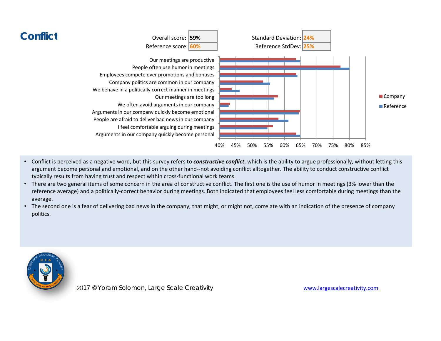

- • Conflict is perceived as a negative word, but this survey refers to *constructive conflict*, which is the ability to argue professionally, without letting this argument become personal and emotional, and on the other hand‐‐not avoiding conflict alltogether. The ability to conduct constructive conflict typically results from having trust and respect within cross-functional work teams.
- There are two general items of some concern in the area of constructive conflict. The first one is the use of humor in meetings (3% lower than the reference average) and a politically‐correct behavior during meetings. Both indicated that employees feel less comfortable during meetings than the average.
- The second one is a fear of delivering bad news in the company, that might, or might not, correlate with an indication of the presence of company politics.

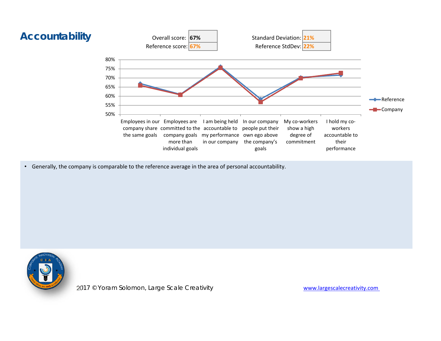

• Generally, the company is comparable to the reference average in the area of personal accountability.

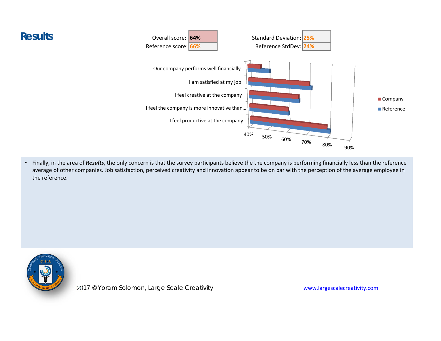

• Finally, in the area of *Results*, the only concern is that the survey participants believe the the company is performing financially less than the reference average of other companies. Job satisfaction, perceived creativity and innovation appear to be on par with the perception of the average employee in the reference.



**Results**